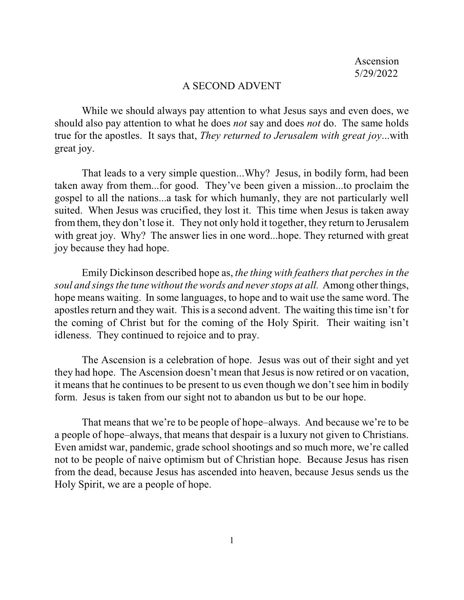## A SECOND ADVENT

While we should always pay attention to what Jesus says and even does, we should also pay attention to what he does *not* say and does *not* do. The same holds true for the apostles. It says that, *They returned to Jerusalem with great joy*...with great joy.

That leads to a very simple question...Why? Jesus, in bodily form, had been taken away from them...for good. They've been given a mission...to proclaim the gospel to all the nations...a task for which humanly, they are not particularly well suited. When Jesus was crucified, they lost it. This time when Jesus is taken away from them, they don't lose it. They not only hold it together, they return to Jerusalem with great joy. Why? The answer lies in one word...hope. They returned with great joy because they had hope.

Emily Dickinson described hope as, *the thing with feathers that perches in the soul and singsthe tune without the words and neverstops at all.* Among other things, hope means waiting. In some languages, to hope and to wait use the same word. The apostles return and they wait. Thisis a second advent. The waiting this time isn't for the coming of Christ but for the coming of the Holy Spirit. Their waiting isn't idleness. They continued to rejoice and to pray.

The Ascension is a celebration of hope. Jesus was out of their sight and yet they had hope. The Ascension doesn't mean that Jesus is now retired or on vacation, it means that he continues to be present to us even though we don't see him in bodily form. Jesus is taken from our sight not to abandon us but to be our hope.

That means that we're to be people of hope–always. And because we're to be a people of hope–always, that means that despair is a luxury not given to Christians. Even amidst war, pandemic, grade school shootings and so much more, we're called not to be people of naive optimism but of Christian hope. Because Jesus has risen from the dead, because Jesus has ascended into heaven, because Jesus sends us the Holy Spirit, we are a people of hope.